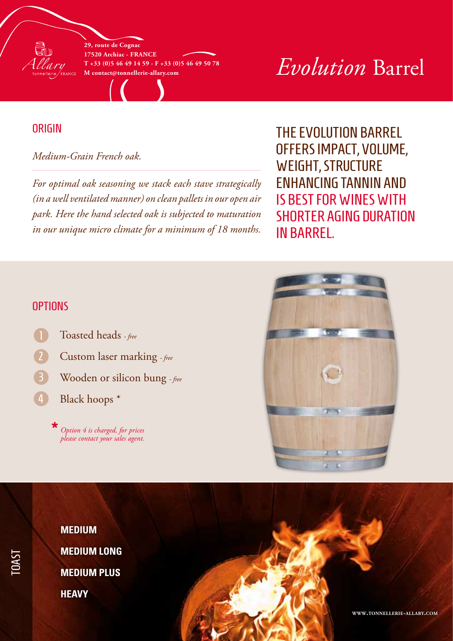**29, route de Cognac 17520 Archiac - France T +33 (0)5 46 49 14 59 - F +33 (0)5 46 49 50 78**

# $H$  +33 (0)5 46 49 14 59 - F +33 (0)5 46 49 50 78<br>M contact@tonnellerie-allary.com

## **ORIGIN**

en 1

#### *Medium-Grain French oak.*

*For optimal oak seasoning we stack each stave strategically (in a well ventilated manner) on clean pallets in our open air park. Here the hand selected oak is subjected to maturation in our unique micro climate for a minimum of 18 months.*

The Evolution barrel offers impact, volume, weight, structure enhancing tannin and is best for wines with shorter aging duration in barrel.

### **OPTIONS**

- Toasted heads  *free*
- Custom laser marking  *free*
- Wooden or silicon bung  *free*
- Black hoops \* 4

*Option 4 is charged, for prices please contact your sales agent.* **\***